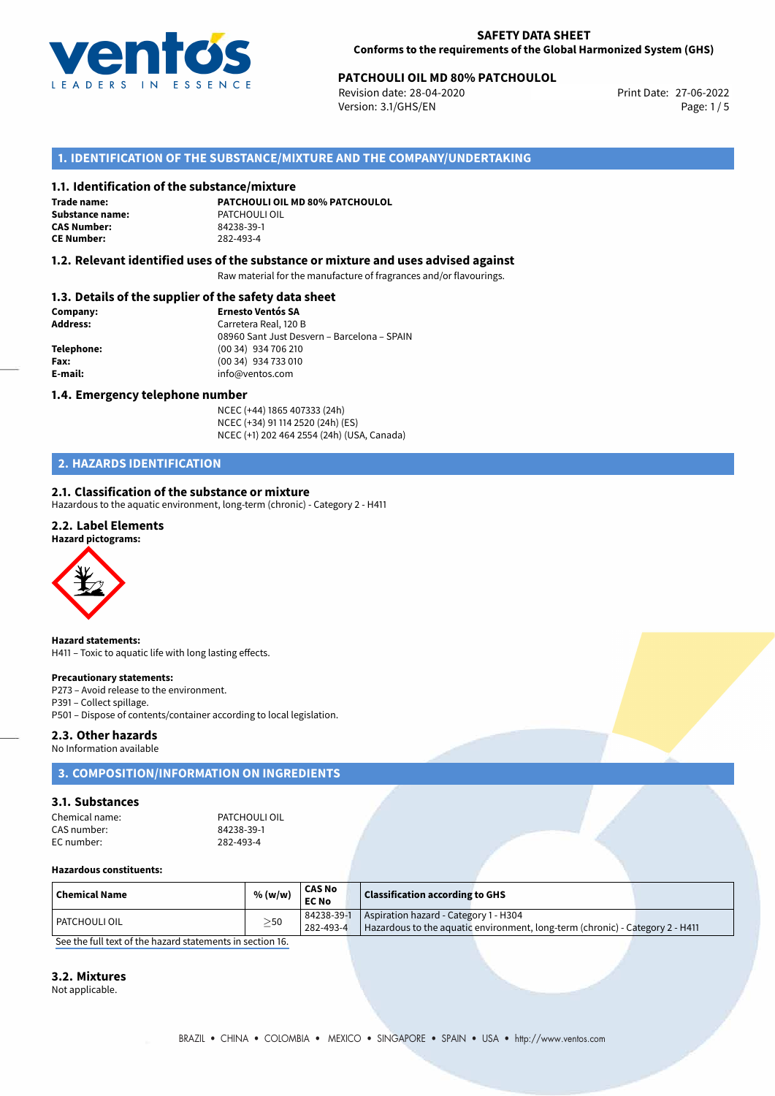

# **PATCHOULI OIL MD 80% PATCHOULOL**<br> **27-06-2022** Print Date: 27-06-2022 Print Date: 27-06-2022

Revision date: 28-04-2020 Version: 3.1/GHS/EN Page: 1 / 5

## **1. IDENTIFICATION OF THE SUBSTANCE/MIXTURE AND THE COMPANY/UNDERTAKING**

### **1.1. Identification of the substance/mixture**

**Trade name: Substance name:** PATCHOULI OIL **CAS Number: CE Number:** 282-493-4

**PATCHOULI OIL MD 80% PATCHOULOL**

### **1.2. Relevant identified uses of the substance or mixture and uses advised against**

Raw material for the manufacture of fragrances and/or flavourings.

### **1.3. Details of the supplier of the safety data sheet**

| Company:        | <b>Ernesto Ventós SA</b>                    |
|-----------------|---------------------------------------------|
| <b>Address:</b> | Carretera Real, 120 B                       |
|                 | 08960 Sant Just Desvern - Barcelona - SPAIN |
| Telephone:      | (00 34) 934 706 210                         |
| Fax:            | (00 34) 934 733 010                         |
| E-mail:         | info@ventos.com                             |
|                 |                                             |

### **1.4. Emergency telephone number**

NCEC (+44) 1865 407333 (24h) NCEC (+34) 91 114 2520 (24h) (ES) NCEC (+1) 202 464 2554 (24h) (USA, Canada)

## **2. HAZARDS IDENTIFICATION**

### **2.1. Classification of the substance or mixture**

Hazardous to the aquatic environment, long-term (chronic) - Category 2 - H411

### **2.2. Label Elements**

**Hazard pictograms:**



**Hazard statements:** H411 – Toxic to aquatic life with long lasting effects.

#### **Precautionary statements:**

P273 – Avoid release to the environment.

P391 – Collect spillage.

P501 – Dispose of contents/container according to local legislation.

#### **2.3. Other hazards** No Information available

## **3. COMPOSITION/INFORMATION ON INGREDIENTS**

### **3.1. Substances**

CAS number: 84238-39-1 EC number: 282-493-4

Chemical name: PATCHOULI OIL

#### **Hazardous constituents:**

| Chemical Name | % (w/w)   | <b>CAS No</b><br><b>EC No</b> | <b>Classification according to GHS</b>                                        |
|---------------|-----------|-------------------------------|-------------------------------------------------------------------------------|
| PATCHOULI OIL | $\geq$ 50 |                               | 84238-39-1   Aspiration hazard - Category 1 - H304                            |
|               |           | $282 - 493 - 4$               | Hazardous to the aquatic environment, long-term (chronic) - Category 2 - H411 |

[See the full text of the hazard statements in section 16.](#page--1-0)

### **3.2. Mixtures**

Not applicable.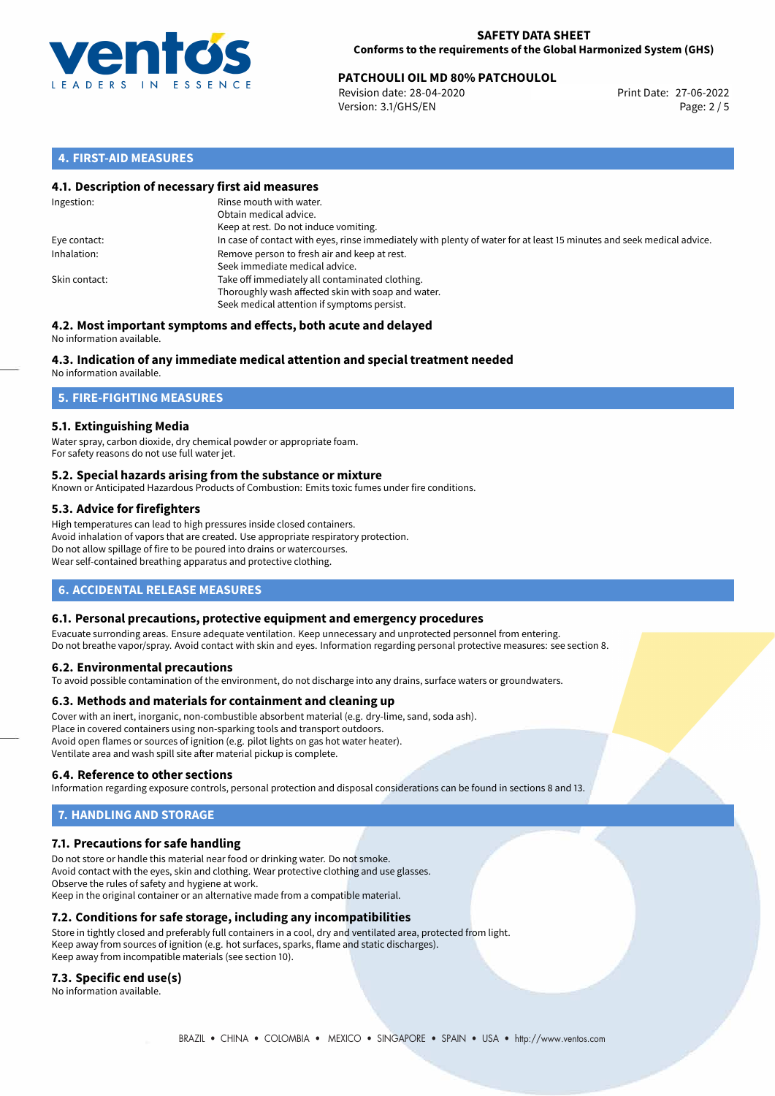

# **PATCHOULI OIL MD 80% PATCHOULOL**<br> **27-06-2022** Print Date: 27-06-2022 Print Date: 27-06-2022

Revision date: 28-04-2020 Version: 3.1/GHS/EN Page: 2 / 5

## **4. FIRST-AID MEASURES**

### **4.1. Description of necessary first aid measures**

| Ingestion:    | Rinse mouth with water.<br>Obtain medical advice.<br>Keep at rest. Do not induce vomiting.                                                           |
|---------------|------------------------------------------------------------------------------------------------------------------------------------------------------|
| Eye contact:  | In case of contact with eyes, rinse immediately with plenty of water for at least 15 minutes and seek medical advice.                                |
| Inhalation:   | Remove person to fresh air and keep at rest.<br>Seek immediate medical advice.                                                                       |
| Skin contact: | Take off immediately all contaminated clothing.<br>Thoroughly wash affected skin with soap and water.<br>Seek medical attention if symptoms persist. |

#### **4.2. Most important symptoms and effects, both acute and delayed** No information available.

## **4.3. Indication of any immediate medical attention and special treatment needed**

No information available.

## **5. FIRE-FIGHTING MEASURES**

## **5.1. Extinguishing Media**

Water spray, carbon dioxide, dry chemical powder or appropriate foam. For safety reasons do not use full water jet.

### **5.2. Special hazards arising from the substance or mixture**

Known or Anticipated Hazardous Products of Combustion: Emits toxic fumes under fire conditions.

## **5.3. Advice for firefighters**

High temperatures can lead to high pressures inside closed containers. Avoid inhalation of vapors that are created. Use appropriate respiratory protection. Do not allow spillage of fire to be poured into drains or watercourses. Wear self-contained breathing apparatus and protective clothing.

## **6. ACCIDENTAL RELEASE MEASURES**

### **6.1. Personal precautions, protective equipment and emergency procedures**

Evacuate surronding areas. Ensure adequate ventilation. Keep unnecessary and unprotected personnel from entering. Do not breathe vapor/spray. Avoid contact with skin and eyes. Information regarding personal protective measures: see section 8.

### **6.2. Environmental precautions**

To avoid possible contamination of the environment, do not discharge into any drains, surface waters or groundwaters.

### **6.3. Methods and materials for containment and cleaning up**

Cover with an inert, inorganic, non-combustible absorbent material (e.g. dry-lime, sand, soda ash). Place in covered containers using non-sparking tools and transport outdoors. Avoid open flames or sources of ignition (e.g. pilot lights on gas hot water heater). Ventilate area and wash spill site after material pickup is complete.

### **6.4. Reference to other sections**

Information regarding exposure controls, personal protection and disposal considerations can be found in sections 8 and 13.

## **7. HANDLING AND STORAGE**

### **7.1. Precautions for safe handling**

Do not store or handle this material near food or drinking water. Do not smoke. Avoid contact with the eyes, skin and clothing. Wear protective clothing and use glasses. Observe the rules of safety and hygiene at work. Keep in the original container or an alternative made from a compatible material.

## **7.2. Conditions for safe storage, including any incompatibilities**

Store in tightly closed and preferably full containers in a cool, dry and ventilated area, protected from light. Keep away from sources of ignition (e.g. hot surfaces, sparks, flame and static discharges). Keep away from incompatible materials (see section 10).

### **7.3. Specific end use(s)**

No information available.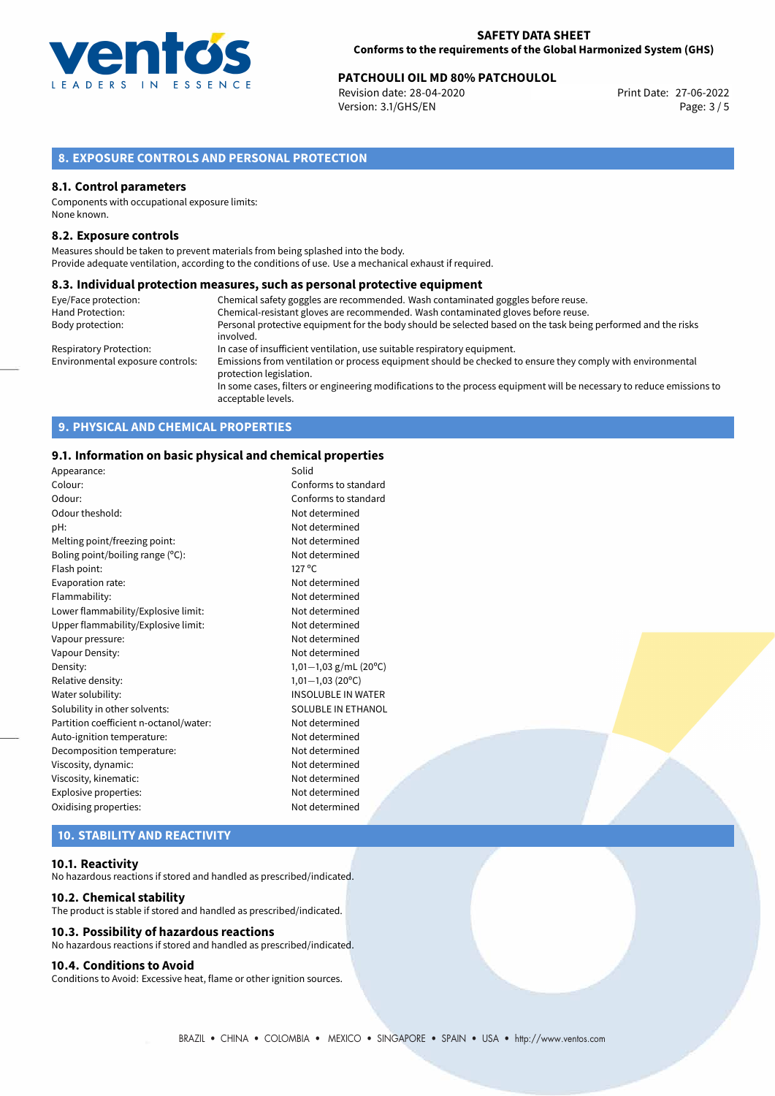

# **PATCHOULI OIL MD 80% PATCHOULOL**<br>Revision date: 28-04-2020 **Print Date: 27-06-2022**

Revision date: 28-04-2020 Version: 3.1/GHS/EN Page: 3 / 5

## **8. EXPOSURE CONTROLS AND PERSONAL PROTECTION**

### **8.1. Control parameters**

Components with occupational exposure limits: None known.

### **8.2. Exposure controls**

Measures should be taken to prevent materials from being splashed into the body. Provide adequate ventilation, according to the conditions of use. Use a mechanical exhaust if required.

### **8.3. Individual protection measures, such as personal protective equipment**

| Eye/Face protection:             | Chemical safety goggles are recommended. Wash contaminated goggles before reuse.                                                            |
|----------------------------------|---------------------------------------------------------------------------------------------------------------------------------------------|
| Hand Protection:                 | Chemical-resistant gloves are recommended. Wash contaminated gloves before reuse.                                                           |
| Body protection:                 | Personal protective equipment for the body should be selected based on the task being performed and the risks                               |
|                                  | involved.                                                                                                                                   |
| Respiratory Protection:          | In case of insufficient ventilation, use suitable respiratory equipment.                                                                    |
| Environmental exposure controls: | Emissions from ventilation or process equipment should be checked to ensure they comply with environmental<br>protection legislation.       |
|                                  | In some cases, filters or engineering modifications to the process equipment will be necessary to reduce emissions to<br>acceptable levels. |

## **9. PHYSICAL AND CHEMICAL PROPERTIES**

### **9.1. Information on basic physical and chemical properties**

| Colour:                                                  | Conforms to standard      |
|----------------------------------------------------------|---------------------------|
| Odour:                                                   | Conforms to standard      |
| Odour theshold:<br>Not determined                        |                           |
| Not determined<br>pH:                                    |                           |
| Not determined<br>Melting point/freezing point:          |                           |
| Boling point/boiling range (°C):<br>Not determined       |                           |
| $127^{\circ}$ C<br>Flash point:                          |                           |
| Evaporation rate:<br>Not determined                      |                           |
| Flammability:<br>Not determined                          |                           |
| Lower flammability/Explosive limit:<br>Not determined    |                           |
| Upper flammability/Explosive limit:<br>Not determined    |                           |
| Not determined<br>Vapour pressure:                       |                           |
| Not determined<br>Vapour Density:                        |                           |
| Density:                                                 | 1,01-1,03 g/mL (20°C)     |
| Relative density:                                        | $1,01-1,03(20^{\circ}C)$  |
| Water solubility:                                        | <b>INSOLUBLE IN WATER</b> |
| Solubility in other solvents:                            | <b>SOLUBLE IN ETHANOL</b> |
| Partition coefficient n-octanol/water:<br>Not determined |                           |
| Not determined<br>Auto-ignition temperature:             |                           |
| Decomposition temperature:<br>Not determined             |                           |
| Viscosity, dynamic:<br>Not determined                    |                           |
| Viscosity, kinematic:<br>Not determined                  |                           |
| Not determined<br>Explosive properties:                  |                           |
| Oxidising properties:<br>Not determined                  |                           |

# **10. STABILITY AND REACTIVITY**

### **10.1. Reactivity**

No hazardous reactions if stored and handled as prescribed/indicated.

### **10.2. Chemical stability**

The product is stable if stored and handled as prescribed/indicated.

### **10.3. Possibility of hazardous reactions**

No hazardous reactions if stored and handled as prescribed/indicated.

### **10.4. Conditions to Avoid**

Conditions to Avoid: Excessive heat, flame or other ignition sources.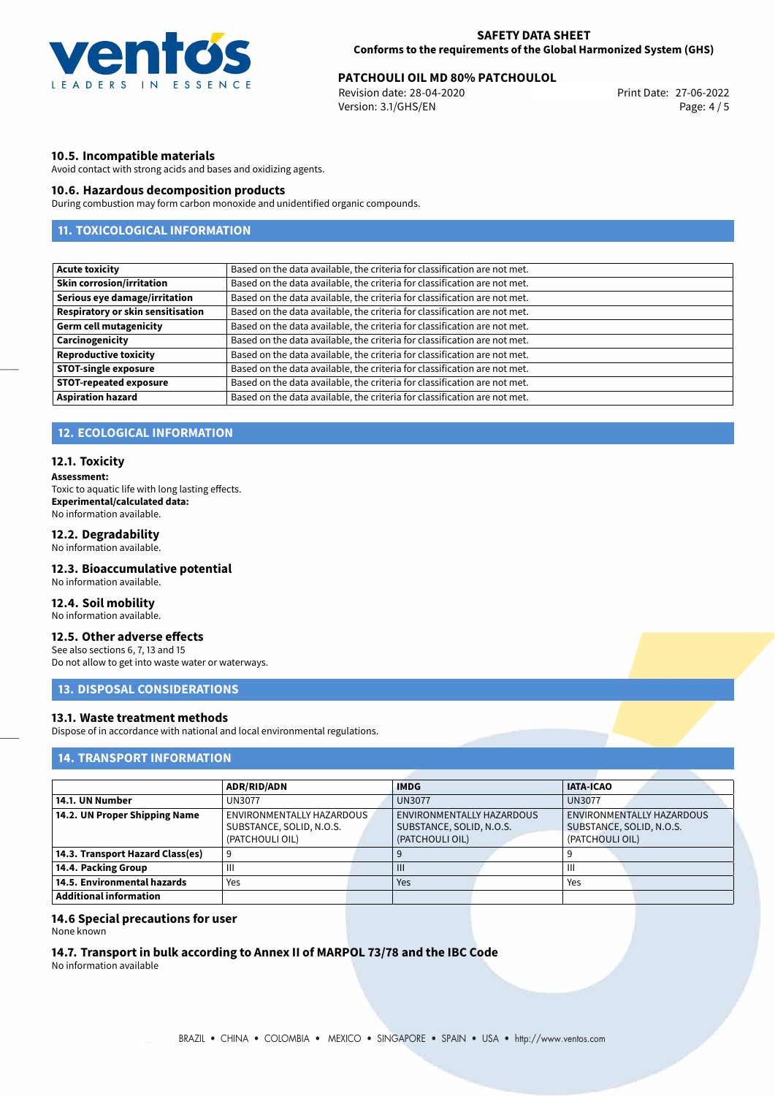

# **PATCHOULI OIL MD 80% PATCHOULOL**<br>Revision date: 28-04-2020 **Print Date: 27-06-2022**

Revision date: 28-04-2020 Version: 3.1/GHS/EN Page: 4 / 5

### **10.5. Incompatible materials**

Avoid contact with strong acids and bases and oxidizing agents.

### **10.6. Hazardous decomposition products**

During combustion may form carbon monoxide and unidentified organic compounds.

## **11. TOXICOLOGICAL INFORMATION**

| Based on the data available, the criteria for classification are not met. |
|---------------------------------------------------------------------------|
| Based on the data available, the criteria for classification are not met. |
| Based on the data available, the criteria for classification are not met. |
| Based on the data available, the criteria for classification are not met. |
| Based on the data available, the criteria for classification are not met. |
| Based on the data available, the criteria for classification are not met. |
| Based on the data available, the criteria for classification are not met. |
| Based on the data available, the criteria for classification are not met. |
| Based on the data available, the criteria for classification are not met. |
| Based on the data available, the criteria for classification are not met. |
|                                                                           |

## **12. ECOLOGICAL INFORMATION**

### **12.1. Toxicity**

**Assessment:** Toxic to aquatic life with long lasting effects. **Experimental/calculated data:**

No information available.

## **12.2. Degradability**

No information available.

## **12.3. Bioaccumulative potential**

No information available.

## **12.4. Soil mobility**

No information available.

## **12.5. Other adverse effects**

See also sections 6, 7, 13 and 15 Do not allow to get into waste water or waterways.

## **13. DISPOSAL CONSIDERATIONS**

## **13.1. Waste treatment methods**

Dispose of in accordance with national and local environmental regulations.

### **14. TRANSPORT INFORMATION**

|                                  | <b>ADR/RID/ADN</b>        |  | <b>IMDG</b>               |  | <b>IATA-ICAO</b>          |  |
|----------------------------------|---------------------------|--|---------------------------|--|---------------------------|--|
| 14.1. UN Number                  | <b>UN3077</b>             |  | <b>UN3077</b>             |  | <b>UN3077</b>             |  |
| 14.2. UN Proper Shipping Name    | ENVIRONMENTALLY HAZARDOUS |  | ENVIRONMENTALLY HAZARDOUS |  | ENVIRONMENTALLY HAZARDOUS |  |
|                                  | SUBSTANCE, SOLID, N.O.S.  |  | SUBSTANCE, SOLID, N.O.S.  |  | SUBSTANCE, SOLID, N.O.S.  |  |
|                                  | (PATCHOULI OIL)           |  | (PATCHOULI OIL)           |  | (PATCHOULI OIL)           |  |
| 14.3. Transport Hazard Class(es) |                           |  |                           |  |                           |  |
| 14.4. Packing Group              | Ш                         |  | III                       |  | $\mathbf{III}$            |  |
| 14.5. Environmental hazards      | Yes                       |  | Yes                       |  | Yes                       |  |
| <b>Additional information</b>    |                           |  |                           |  |                           |  |

## **14.6 Special precautions for user**

None known

### **14.7. Transport in bulk according to Annex II of MARPOL 73/78 and the IBC Code**

No information available